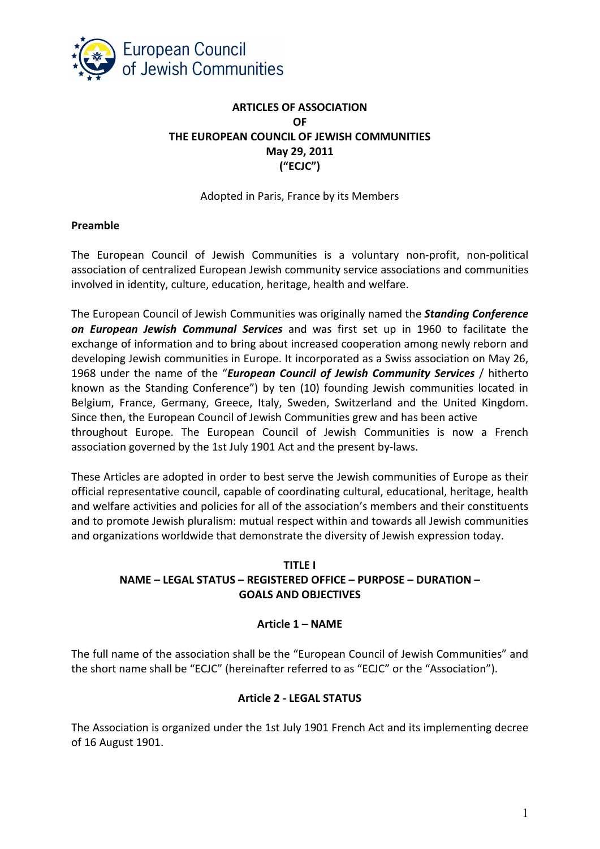

# **ARTICLES OF ASSOCIATION OF THE EUROPEAN COUNCIL OF JEWISH COMMUNITIES May 29, 2011 ("ECJC")**

### Adopted in Paris, France by its Members

### **Preamble**

The European Council of Jewish Communities is a voluntary non-profit, non-political association of centralized European Jewish community service associations and communities involved in identity, culture, education, heritage, health and welfare.

The European Council of Jewish Communities was originally named the *Standing Conference on European Jewish Communal Services* and was first set up in 1960 to facilitate the exchange of information and to bring about increased cooperation among newly reborn and developing Jewish communities in Europe. It incorporated as a Swiss association on May 26, 1968 under the name of the "*European Council of Jewish Community Services* / hitherto known as the Standing Conference") by ten (10) founding Jewish communities located in Belgium, France, Germany, Greece, Italy, Sweden, Switzerland and the United Kingdom. Since then, the European Council of Jewish Communities grew and has been active throughout Europe. The European Council of Jewish Communities is now a French association governed by the 1st July 1901 Act and the present by-laws.

These Articles are adopted in order to best serve the Jewish communities of Europe as their official representative council, capable of coordinating cultural, educational, heritage, health and welfare activities and policies for all of the association's members and their constituents and to promote Jewish pluralism: mutual respect within and towards all Jewish communities and organizations worldwide that demonstrate the diversity of Jewish expression today.

## **TITLE I NAME – LEGAL STATUS – REGISTERED OFFICE – PURPOSE – DURATION – GOALS AND OBJECTIVES**

## **Article 1 – NAME**

The full name of the association shall be the "European Council of Jewish Communities" and the short name shall be "ECJC" (hereinafter referred to as "ECJC" or the "Association").

## **Article 2 - LEGAL STATUS**

The Association is organized under the 1st July 1901 French Act and its implementing decree of 16 August 1901.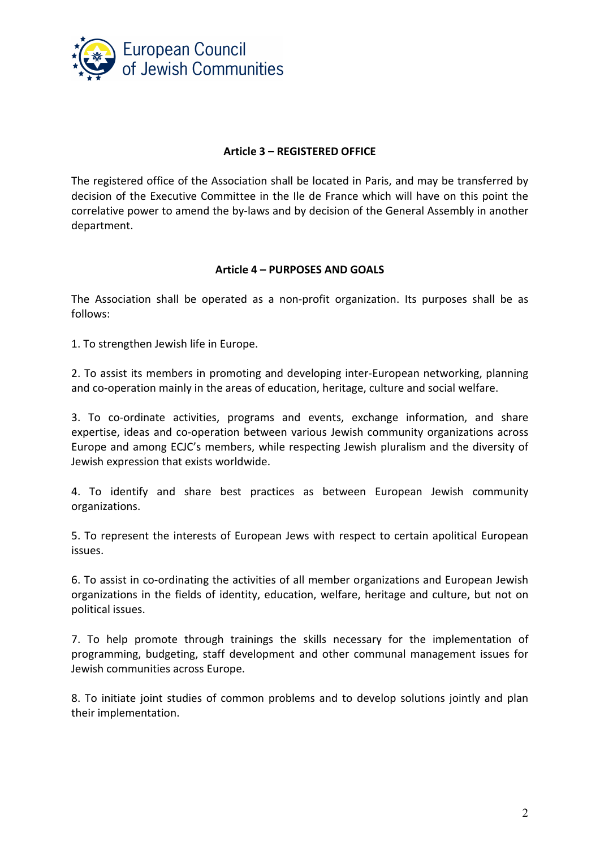

### **Article 3 – REGISTERED OFFICE**

The registered office of the Association shall be located in Paris, and may be transferred by decision of the Executive Committee in the Ile de France which will have on this point the correlative power to amend the by-laws and by decision of the General Assembly in another department.

### **Article 4 – PURPOSES AND GOALS**

The Association shall be operated as a non-profit organization. Its purposes shall be as follows:

1. To strengthen Jewish life in Europe.

2. To assist its members in promoting and developing inter-European networking, planning and co-operation mainly in the areas of education, heritage, culture and social welfare.

3. To co-ordinate activities, programs and events, exchange information, and share expertise, ideas and co-operation between various Jewish community organizations across Europe and among ECJC's members, while respecting Jewish pluralism and the diversity of Jewish expression that exists worldwide.

4. To identify and share best practices as between European Jewish community organizations.

5. To represent the interests of European Jews with respect to certain apolitical European issues.

6. To assist in co-ordinating the activities of all member organizations and European Jewish organizations in the fields of identity, education, welfare, heritage and culture, but not on political issues.

7. To help promote through trainings the skills necessary for the implementation of programming, budgeting, staff development and other communal management issues for Jewish communities across Europe.

8. To initiate joint studies of common problems and to develop solutions jointly and plan their implementation.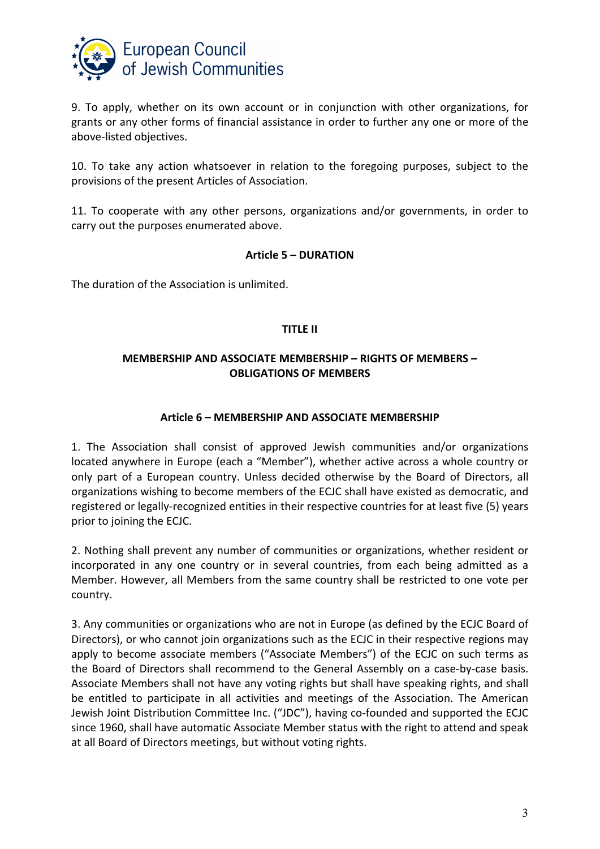

9. To apply, whether on its own account or in conjunction with other organizations, for grants or any other forms of financial assistance in order to further any one or more of the above-listed objectives.

10. To take any action whatsoever in relation to the foregoing purposes, subject to the provisions of the present Articles of Association.

11. To cooperate with any other persons, organizations and/or governments, in order to carry out the purposes enumerated above.

#### **Article 5 – DURATION**

The duration of the Association is unlimited.

#### **TITLE II**

## **MEMBERSHIP AND ASSOCIATE MEMBERSHIP – RIGHTS OF MEMBERS – OBLIGATIONS OF MEMBERS**

### **Article 6 – MEMBERSHIP AND ASSOCIATE MEMBERSHIP**

1. The Association shall consist of approved Jewish communities and/or organizations located anywhere in Europe (each a "Member"), whether active across a whole country or only part of a European country. Unless decided otherwise by the Board of Directors, all organizations wishing to become members of the ECJC shall have existed as democratic, and registered or legally-recognized entities in their respective countries for at least five (5) years prior to joining the ECJC.

2. Nothing shall prevent any number of communities or organizations, whether resident or incorporated in any one country or in several countries, from each being admitted as a Member. However, all Members from the same country shall be restricted to one vote per country.

3. Any communities or organizations who are not in Europe (as defined by the ECJC Board of Directors), or who cannot join organizations such as the ECJC in their respective regions may apply to become associate members ("Associate Members") of the ECJC on such terms as the Board of Directors shall recommend to the General Assembly on a case-by-case basis. Associate Members shall not have any voting rights but shall have speaking rights, and shall be entitled to participate in all activities and meetings of the Association. The American Jewish Joint Distribution Committee Inc. ("JDC"), having co-founded and supported the ECJC since 1960, shall have automatic Associate Member status with the right to attend and speak at all Board of Directors meetings, but without voting rights.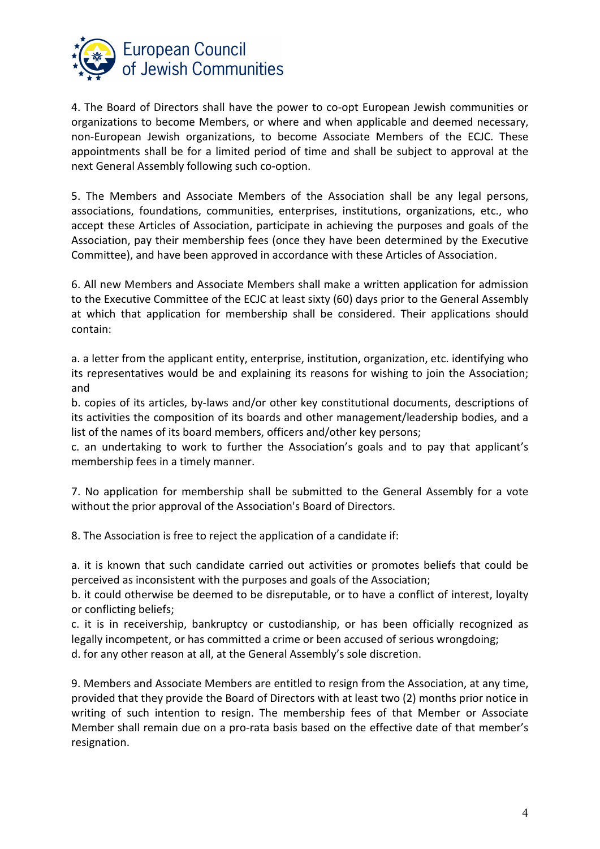

4. The Board of Directors shall have the power to co-opt European Jewish communities or organizations to become Members, or where and when applicable and deemed necessary, non-European Jewish organizations, to become Associate Members of the ECJC. These appointments shall be for a limited period of time and shall be subject to approval at the next General Assembly following such co-option.

5. The Members and Associate Members of the Association shall be any legal persons, associations, foundations, communities, enterprises, institutions, organizations, etc., who accept these Articles of Association, participate in achieving the purposes and goals of the Association, pay their membership fees (once they have been determined by the Executive Committee), and have been approved in accordance with these Articles of Association.

6. All new Members and Associate Members shall make a written application for admission to the Executive Committee of the ECJC at least sixty (60) days prior to the General Assembly at which that application for membership shall be considered. Their applications should contain:

a. a letter from the applicant entity, enterprise, institution, organization, etc. identifying who its representatives would be and explaining its reasons for wishing to join the Association; and

b. copies of its articles, by-laws and/or other key constitutional documents, descriptions of its activities the composition of its boards and other management/leadership bodies, and a list of the names of its board members, officers and/other key persons;

c. an undertaking to work to further the Association's goals and to pay that applicant's membership fees in a timely manner.

7. No application for membership shall be submitted to the General Assembly for a vote without the prior approval of the Association's Board of Directors.

8. The Association is free to reject the application of a candidate if:

a. it is known that such candidate carried out activities or promotes beliefs that could be perceived as inconsistent with the purposes and goals of the Association;

b. it could otherwise be deemed to be disreputable, or to have a conflict of interest, loyalty or conflicting beliefs;

c. it is in receivership, bankruptcy or custodianship, or has been officially recognized as legally incompetent, or has committed a crime or been accused of serious wrongdoing; d. for any other reason at all, at the General Assembly's sole discretion.

9. Members and Associate Members are entitled to resign from the Association, at any time, provided that they provide the Board of Directors with at least two (2) months prior notice in writing of such intention to resign. The membership fees of that Member or Associate Member shall remain due on a pro-rata basis based on the effective date of that member's resignation.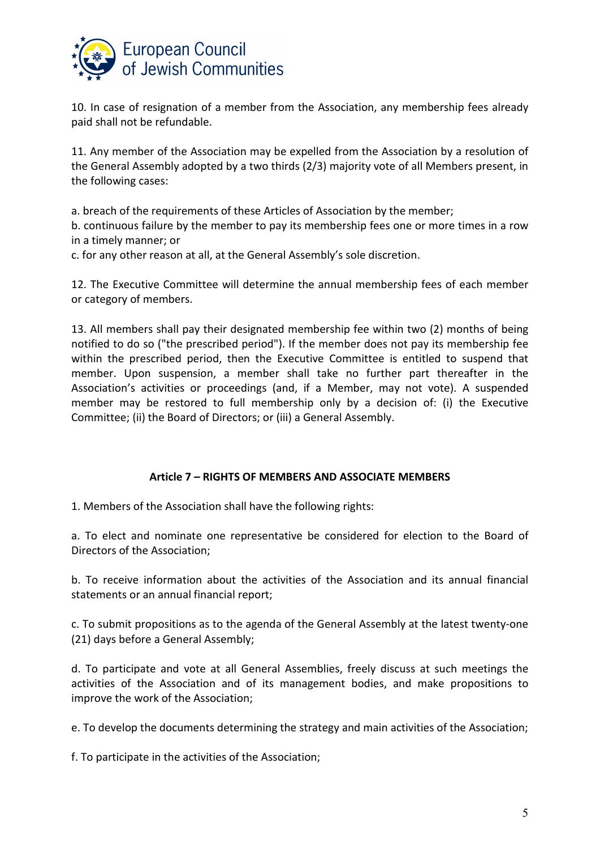

10. In case of resignation of a member from the Association, any membership fees already paid shall not be refundable.

11. Any member of the Association may be expelled from the Association by a resolution of the General Assembly adopted by a two thirds (2/3) majority vote of all Members present, in the following cases:

a. breach of the requirements of these Articles of Association by the member;

b. continuous failure by the member to pay its membership fees one or more times in a row in a timely manner; or

c. for any other reason at all, at the General Assembly's sole discretion.

12. The Executive Committee will determine the annual membership fees of each member or category of members.

13. All members shall pay their designated membership fee within two (2) months of being notified to do so ("the prescribed period"). If the member does not pay its membership fee within the prescribed period, then the Executive Committee is entitled to suspend that member. Upon suspension, a member shall take no further part thereafter in the Association's activities or proceedings (and, if a Member, may not vote). A suspended member may be restored to full membership only by a decision of: (i) the Executive Committee; (ii) the Board of Directors; or (iii) a General Assembly.

#### **Article 7 – RIGHTS OF MEMBERS AND ASSOCIATE MEMBERS**

1. Members of the Association shall have the following rights:

a. To elect and nominate one representative be considered for election to the Board of Directors of the Association;

b. To receive information about the activities of the Association and its annual financial statements or an annual financial report;

c. To submit propositions as to the agenda of the General Assembly at the latest twenty-one (21) days before a General Assembly;

d. To participate and vote at all General Assemblies, freely discuss at such meetings the activities of the Association and of its management bodies, and make propositions to improve the work of the Association;

e. To develop the documents determining the strategy and main activities of the Association;

f. To participate in the activities of the Association;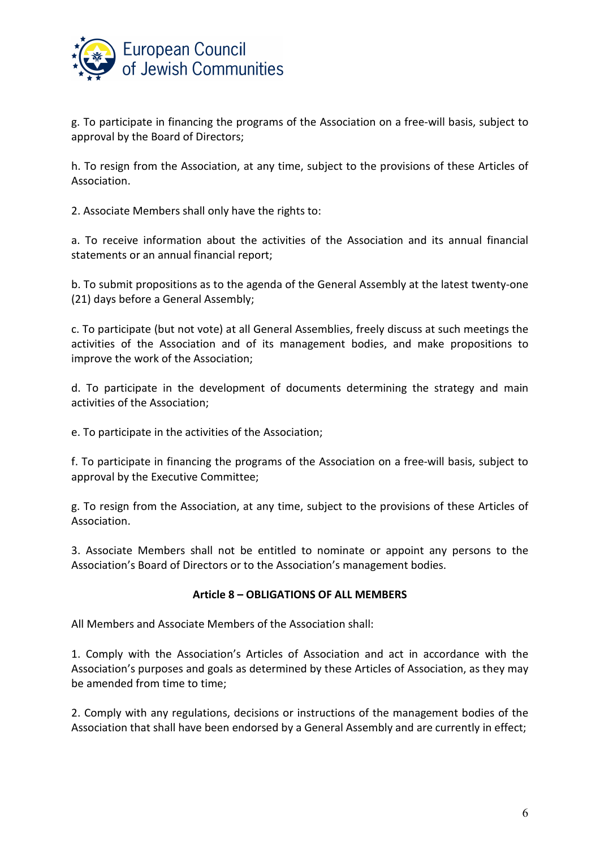

g. To participate in financing the programs of the Association on a free-will basis, subject to approval by the Board of Directors;

h. To resign from the Association, at any time, subject to the provisions of these Articles of Association.

2. Associate Members shall only have the rights to:

a. To receive information about the activities of the Association and its annual financial statements or an annual financial report;

b. To submit propositions as to the agenda of the General Assembly at the latest twenty-one (21) days before a General Assembly;

c. To participate (but not vote) at all General Assemblies, freely discuss at such meetings the activities of the Association and of its management bodies, and make propositions to improve the work of the Association;

d. To participate in the development of documents determining the strategy and main activities of the Association;

e. To participate in the activities of the Association;

f. To participate in financing the programs of the Association on a free-will basis, subject to approval by the Executive Committee;

g. To resign from the Association, at any time, subject to the provisions of these Articles of Association.

3. Associate Members shall not be entitled to nominate or appoint any persons to the Association's Board of Directors or to the Association's management bodies.

#### **Article 8 – OBLIGATIONS OF ALL MEMBERS**

All Members and Associate Members of the Association shall:

1. Comply with the Association's Articles of Association and act in accordance with the Association's purposes and goals as determined by these Articles of Association, as they may be amended from time to time;

2. Comply with any regulations, decisions or instructions of the management bodies of the Association that shall have been endorsed by a General Assembly and are currently in effect;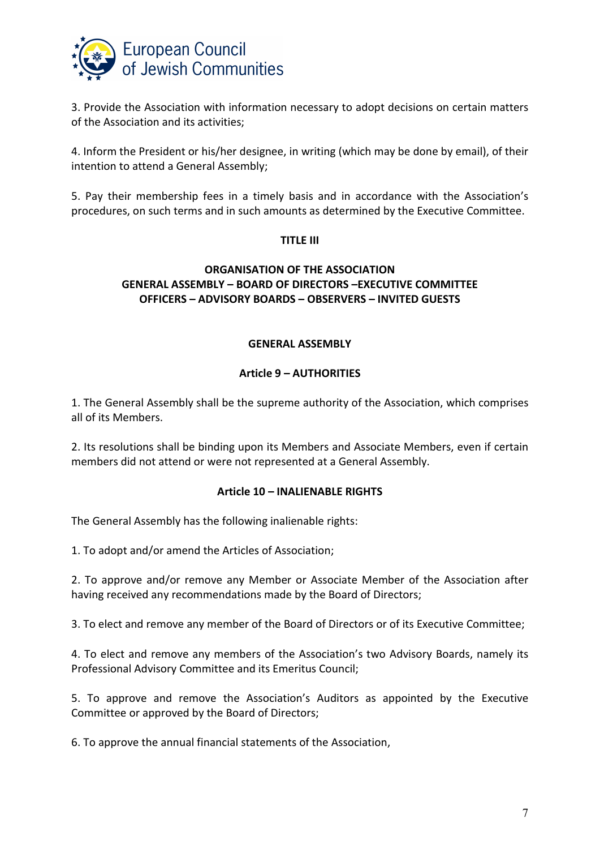

3. Provide the Association with information necessary to adopt decisions on certain matters of the Association and its activities;

4. Inform the President or his/her designee, in writing (which may be done by email), of their intention to attend a General Assembly;

5. Pay their membership fees in a timely basis and in accordance with the Association's procedures, on such terms and in such amounts as determined by the Executive Committee.

### **TITLE III**

## **ORGANISATION OF THE ASSOCIATION GENERAL ASSEMBLY – BOARD OF DIRECTORS –EXECUTIVE COMMITTEE OFFICERS – ADVISORY BOARDS – OBSERVERS – INVITED GUESTS**

### **GENERAL ASSEMBLY**

## **Article 9 – AUTHORITIES**

1. The General Assembly shall be the supreme authority of the Association, which comprises all of its Members.

2. Its resolutions shall be binding upon its Members and Associate Members, even if certain members did not attend or were not represented at a General Assembly.

#### **Article 10 – INALIENABLE RIGHTS**

The General Assembly has the following inalienable rights:

1. To adopt and/or amend the Articles of Association;

2. To approve and/or remove any Member or Associate Member of the Association after having received any recommendations made by the Board of Directors;

3. To elect and remove any member of the Board of Directors or of its Executive Committee;

4. To elect and remove any members of the Association's two Advisory Boards, namely its Professional Advisory Committee and its Emeritus Council;

5. To approve and remove the Association's Auditors as appointed by the Executive Committee or approved by the Board of Directors;

6. To approve the annual financial statements of the Association,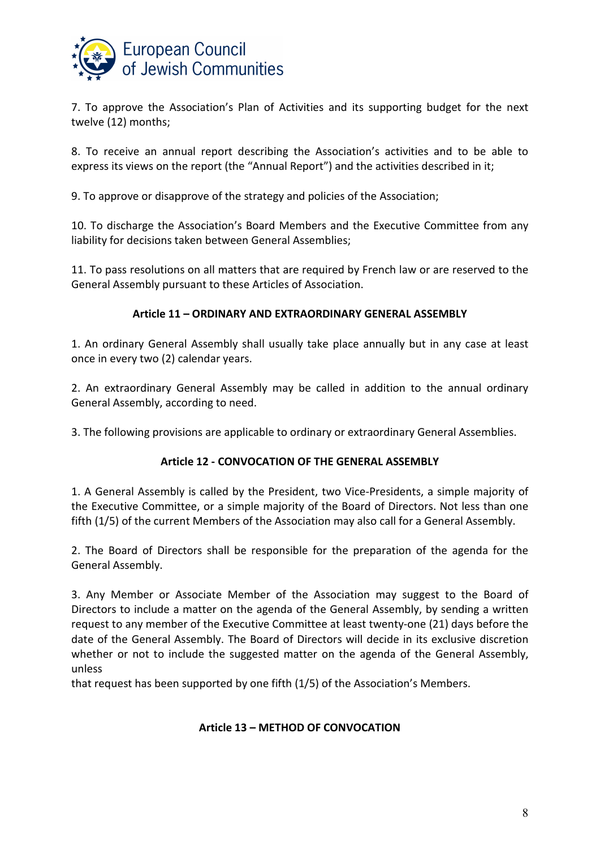

7. To approve the Association's Plan of Activities and its supporting budget for the next twelve (12) months;

8. To receive an annual report describing the Association's activities and to be able to express its views on the report (the "Annual Report") and the activities described in it;

9. To approve or disapprove of the strategy and policies of the Association;

10. To discharge the Association's Board Members and the Executive Committee from any liability for decisions taken between General Assemblies;

11. To pass resolutions on all matters that are required by French law or are reserved to the General Assembly pursuant to these Articles of Association.

## **Article 11 – ORDINARY AND EXTRAORDINARY GENERAL ASSEMBLY**

1. An ordinary General Assembly shall usually take place annually but in any case at least once in every two (2) calendar years.

2. An extraordinary General Assembly may be called in addition to the annual ordinary General Assembly, according to need.

3. The following provisions are applicable to ordinary or extraordinary General Assemblies.

## **Article 12 - CONVOCATION OF THE GENERAL ASSEMBLY**

1. A General Assembly is called by the President, two Vice-Presidents, a simple majority of the Executive Committee, or a simple majority of the Board of Directors. Not less than one fifth (1/5) of the current Members of the Association may also call for a General Assembly.

2. The Board of Directors shall be responsible for the preparation of the agenda for the General Assembly.

3. Any Member or Associate Member of the Association may suggest to the Board of Directors to include a matter on the agenda of the General Assembly, by sending a written request to any member of the Executive Committee at least twenty-one (21) days before the date of the General Assembly. The Board of Directors will decide in its exclusive discretion whether or not to include the suggested matter on the agenda of the General Assembly, unless

that request has been supported by one fifth (1/5) of the Association's Members.

## **Article 13 – METHOD OF CONVOCATION**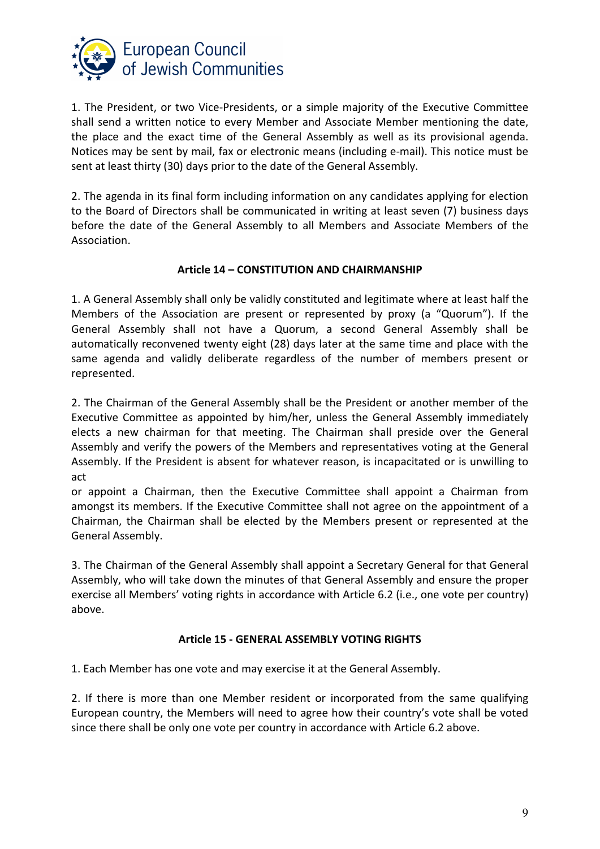

1. The President, or two Vice-Presidents, or a simple majority of the Executive Committee shall send a written notice to every Member and Associate Member mentioning the date, the place and the exact time of the General Assembly as well as its provisional agenda. Notices may be sent by mail, fax or electronic means (including e-mail). This notice must be sent at least thirty (30) days prior to the date of the General Assembly.

2. The agenda in its final form including information on any candidates applying for election to the Board of Directors shall be communicated in writing at least seven (7) business days before the date of the General Assembly to all Members and Associate Members of the Association.

### **Article 14 – CONSTITUTION AND CHAIRMANSHIP**

1. A General Assembly shall only be validly constituted and legitimate where at least half the Members of the Association are present or represented by proxy (a "Quorum"). If the General Assembly shall not have a Quorum, a second General Assembly shall be automatically reconvened twenty eight (28) days later at the same time and place with the same agenda and validly deliberate regardless of the number of members present or represented.

2. The Chairman of the General Assembly shall be the President or another member of the Executive Committee as appointed by him/her, unless the General Assembly immediately elects a new chairman for that meeting. The Chairman shall preside over the General Assembly and verify the powers of the Members and representatives voting at the General Assembly. If the President is absent for whatever reason, is incapacitated or is unwilling to act

or appoint a Chairman, then the Executive Committee shall appoint a Chairman from amongst its members. If the Executive Committee shall not agree on the appointment of a Chairman, the Chairman shall be elected by the Members present or represented at the General Assembly.

3. The Chairman of the General Assembly shall appoint a Secretary General for that General Assembly, who will take down the minutes of that General Assembly and ensure the proper exercise all Members' voting rights in accordance with Article 6.2 (i.e., one vote per country) above.

## **Article 15 - GENERAL ASSEMBLY VOTING RIGHTS**

1. Each Member has one vote and may exercise it at the General Assembly.

2. If there is more than one Member resident or incorporated from the same qualifying European country, the Members will need to agree how their country's vote shall be voted since there shall be only one vote per country in accordance with Article 6.2 above.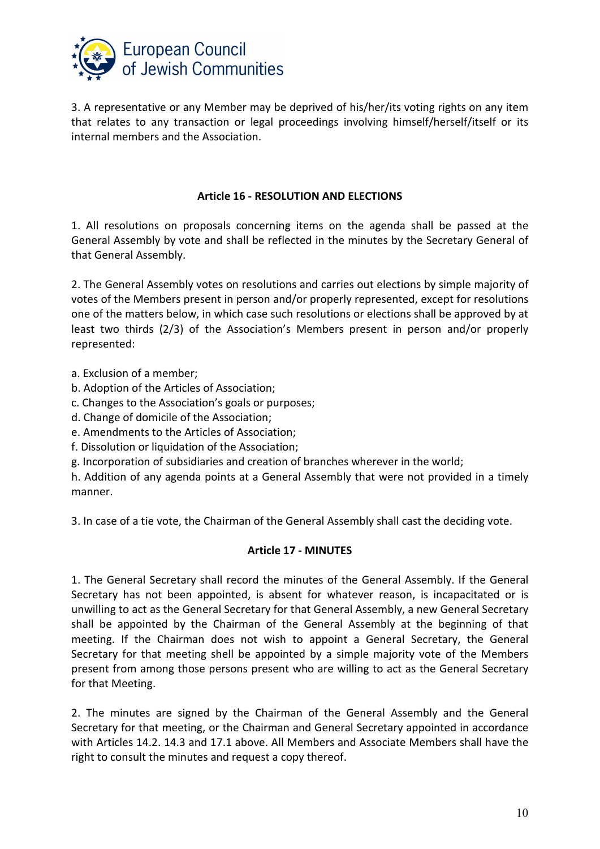

3. A representative or any Member may be deprived of his/her/its voting rights on any item that relates to any transaction or legal proceedings involving himself/herself/itself or its internal members and the Association.

### **Article 16 - RESOLUTION AND ELECTIONS**

1. All resolutions on proposals concerning items on the agenda shall be passed at the General Assembly by vote and shall be reflected in the minutes by the Secretary General of that General Assembly.

2. The General Assembly votes on resolutions and carries out elections by simple majority of votes of the Members present in person and/or properly represented, except for resolutions one of the matters below, in which case such resolutions or elections shall be approved by at least two thirds (2/3) of the Association's Members present in person and/or properly represented:

- a. Exclusion of a member;
- b. Adoption of the Articles of Association;
- c. Changes to the Association's goals or purposes;
- d. Change of domicile of the Association;
- e. Amendments to the Articles of Association;
- f. Dissolution or liquidation of the Association;

g. Incorporation of subsidiaries and creation of branches wherever in the world;

h. Addition of any agenda points at a General Assembly that were not provided in a timely manner.

3. In case of a tie vote, the Chairman of the General Assembly shall cast the deciding vote.

#### **Article 17 - MINUTES**

1. The General Secretary shall record the minutes of the General Assembly. If the General Secretary has not been appointed, is absent for whatever reason, is incapacitated or is unwilling to act as the General Secretary for that General Assembly, a new General Secretary shall be appointed by the Chairman of the General Assembly at the beginning of that meeting. If the Chairman does not wish to appoint a General Secretary, the General Secretary for that meeting shell be appointed by a simple majority vote of the Members present from among those persons present who are willing to act as the General Secretary for that Meeting.

2. The minutes are signed by the Chairman of the General Assembly and the General Secretary for that meeting, or the Chairman and General Secretary appointed in accordance with Articles 14.2. 14.3 and 17.1 above. All Members and Associate Members shall have the right to consult the minutes and request a copy thereof.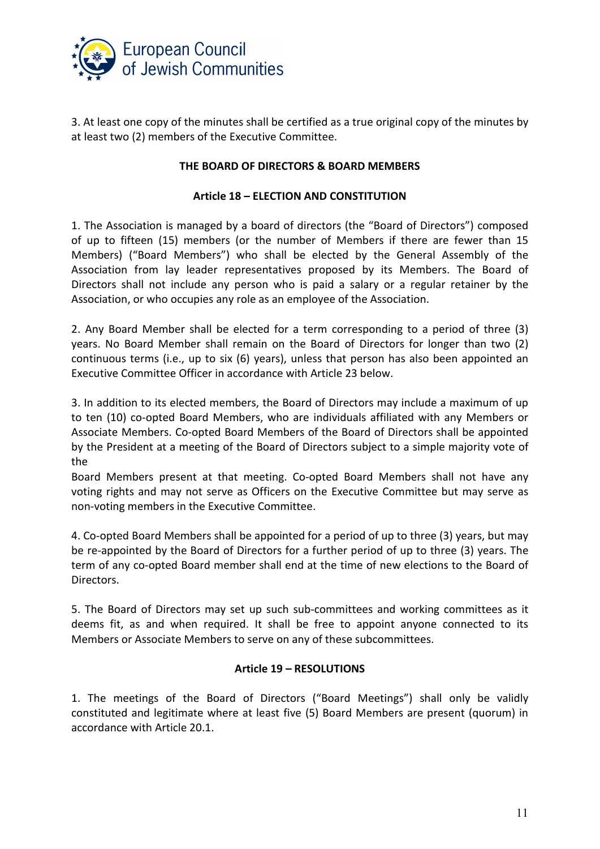

3. At least one copy of the minutes shall be certified as a true original copy of the minutes by at least two (2) members of the Executive Committee.

### **THE BOARD OF DIRECTORS & BOARD MEMBERS**

#### **Article 18 – ELECTION AND CONSTITUTION**

1. The Association is managed by a board of directors (the "Board of Directors") composed of up to fifteen (15) members (or the number of Members if there are fewer than 15 Members) ("Board Members") who shall be elected by the General Assembly of the Association from lay leader representatives proposed by its Members. The Board of Directors shall not include any person who is paid a salary or a regular retainer by the Association, or who occupies any role as an employee of the Association.

2. Any Board Member shall be elected for a term corresponding to a period of three (3) years. No Board Member shall remain on the Board of Directors for longer than two (2) continuous terms (i.e., up to six (6) years), unless that person has also been appointed an Executive Committee Officer in accordance with Article 23 below.

3. In addition to its elected members, the Board of Directors may include a maximum of up to ten (10) co-opted Board Members, who are individuals affiliated with any Members or Associate Members. Co-opted Board Members of the Board of Directors shall be appointed by the President at a meeting of the Board of Directors subject to a simple majority vote of the

Board Members present at that meeting. Co-opted Board Members shall not have any voting rights and may not serve as Officers on the Executive Committee but may serve as non-voting members in the Executive Committee.

4. Co-opted Board Members shall be appointed for a period of up to three (3) years, but may be re-appointed by the Board of Directors for a further period of up to three (3) years. The term of any co-opted Board member shall end at the time of new elections to the Board of Directors.

5. The Board of Directors may set up such sub-committees and working committees as it deems fit, as and when required. It shall be free to appoint anyone connected to its Members or Associate Members to serve on any of these subcommittees.

#### **Article 19 – RESOLUTIONS**

1. The meetings of the Board of Directors ("Board Meetings") shall only be validly constituted and legitimate where at least five (5) Board Members are present (quorum) in accordance with Article 20.1.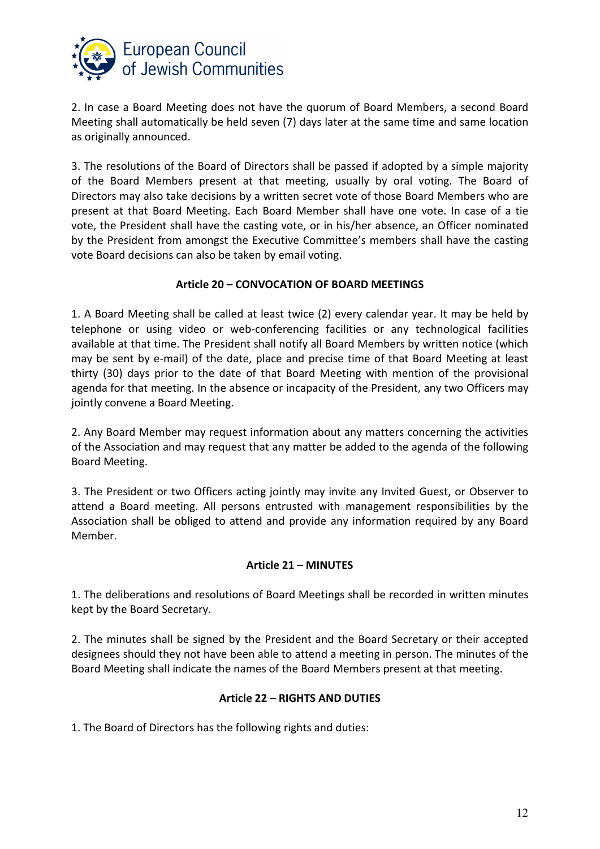

2. In case a Board Meeting does not have the quorum of Board Members, a second Board Meeting shall automatically be held seven (7) days later at the same time and same location as originally announced.

3. The resolutions of the Board of Directors shall be passed if adopted by a simple majority of the Board Members present at that meeting, usually by oral voting. The Board of Directors may also take decisions by a written secret vote of those Board Members who are present at that Board Meeting. Each Board Member shall have one vote. In case of a tie vote, the President shall have the casting vote, or in his/her absence, an Officer nominated by the President from amongst the Executive Committee's members shall have the casting vote Board decisions can also be taken by email voting.

## **Article 20 – CONVOCATION OF BOARD MEETINGS**

1. A Board Meeting shall be called at least twice (2) every calendar year. It may be held by telephone or using video or web-conferencing facilities or any technological facilities available at that time. The President shall notify all Board Members by written notice (which may be sent by e-mail) of the date, place and precise time of that Board Meeting at least thirty (30) days prior to the date of that Board Meeting with mention of the provisional agenda for that meeting. In the absence or incapacity of the President, any two Officers may jointly convene a Board Meeting.

2. Any Board Member may request information about any matters concerning the activities of the Association and may request that any matter be added to the agenda of the following Board Meeting.

3. The President or two Officers acting jointly may invite any Invited Guest, or Observer to attend a Board meeting. All persons entrusted with management responsibilities by the Association shall be obliged to attend and provide any information required by any Board Member.

## **Article 21 – MINUTES**

1. The deliberations and resolutions of Board Meetings shall be recorded in written minutes kept by the Board Secretary.

2. The minutes shall be signed by the President and the Board Secretary or their accepted designees should they not have been able to attend a meeting in person. The minutes of the Board Meeting shall indicate the names of the Board Members present at that meeting.

#### **Article 22 – RIGHTS AND DUTIES**

1. The Board of Directors has the following rights and duties: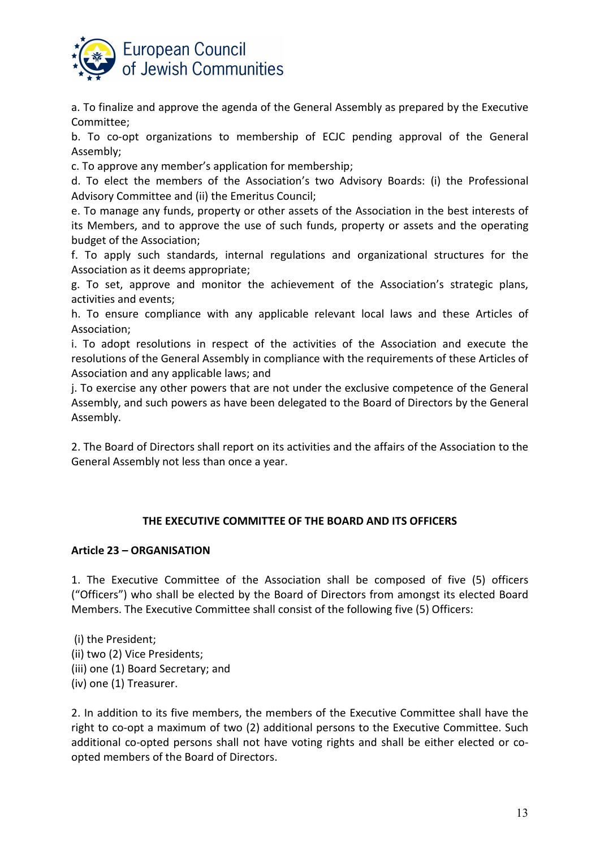

a. To finalize and approve the agenda of the General Assembly as prepared by the Executive Committee;

b. To co-opt organizations to membership of ECJC pending approval of the General Assembly;

c. To approve any member's application for membership;

d. To elect the members of the Association's two Advisory Boards: (i) the Professional Advisory Committee and (ii) the Emeritus Council;

e. To manage any funds, property or other assets of the Association in the best interests of its Members, and to approve the use of such funds, property or assets and the operating budget of the Association;

f. To apply such standards, internal regulations and organizational structures for the Association as it deems appropriate;

g. To set, approve and monitor the achievement of the Association's strategic plans, activities and events;

h. To ensure compliance with any applicable relevant local laws and these Articles of Association;

i. To adopt resolutions in respect of the activities of the Association and execute the resolutions of the General Assembly in compliance with the requirements of these Articles of Association and any applicable laws; and

j. To exercise any other powers that are not under the exclusive competence of the General Assembly, and such powers as have been delegated to the Board of Directors by the General Assembly.

2. The Board of Directors shall report on its activities and the affairs of the Association to the General Assembly not less than once a year.

## **THE EXECUTIVE COMMITTEE OF THE BOARD AND ITS OFFICERS**

#### **Article 23 – ORGANISATION**

1. The Executive Committee of the Association shall be composed of five (5) officers ("Officers") who shall be elected by the Board of Directors from amongst its elected Board Members. The Executive Committee shall consist of the following five (5) Officers:

 (i) the President; (ii) two (2) Vice Presidents; (iii) one (1) Board Secretary; and (iv) one (1) Treasurer.

2. In addition to its five members, the members of the Executive Committee shall have the right to co-opt a maximum of two (2) additional persons to the Executive Committee. Such additional co-opted persons shall not have voting rights and shall be either elected or coopted members of the Board of Directors.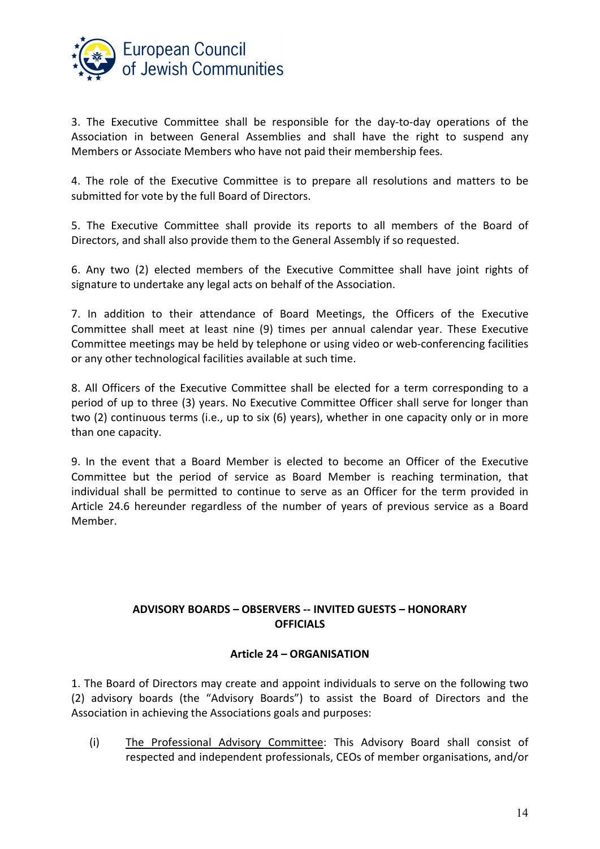

3. The Executive Committee shall be responsible for the day-to-day operations of the Association in between General Assemblies and shall have the right to suspend any Members or Associate Members who have not paid their membership fees.

4. The role of the Executive Committee is to prepare all resolutions and matters to be submitted for vote by the full Board of Directors.

5. The Executive Committee shall provide its reports to all members of the Board of Directors, and shall also provide them to the General Assembly if so requested.

6. Any two (2) elected members of the Executive Committee shall have joint rights of signature to undertake any legal acts on behalf of the Association.

7. In addition to their attendance of Board Meetings, the Officers of the Executive Committee shall meet at least nine (9) times per annual calendar year. These Executive Committee meetings may be held by telephone or using video or web-conferencing facilities or any other technological facilities available at such time.

8. All Officers of the Executive Committee shall be elected for a term corresponding to a period of up to three (3) years. No Executive Committee Officer shall serve for longer than two (2) continuous terms (i.e., up to six (6) years), whether in one capacity only or in more than one capacity.

9. In the event that a Board Member is elected to become an Officer of the Executive Committee but the period of service as Board Member is reaching termination, that individual shall be permitted to continue to serve as an Officer for the term provided in Article 24.6 hereunder regardless of the number of years of previous service as a Board Member.

## **ADVISORY BOARDS – OBSERVERS -- INVITED GUESTS – HONORARY OFFICIALS**

## **Article 24 – ORGANISATION**

1. The Board of Directors may create and appoint individuals to serve on the following two (2) advisory boards (the "Advisory Boards") to assist the Board of Directors and the Association in achieving the Associations goals and purposes:

(i) The Professional Advisory Committee: This Advisory Board shall consist of respected and independent professionals, CEOs of member organisations, and/or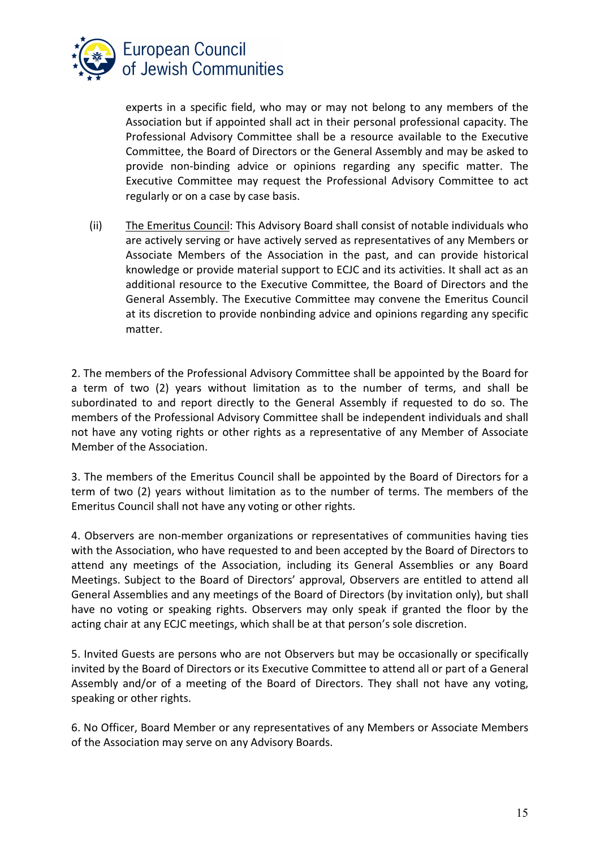

experts in a specific field, who may or may not belong to any members of the Association but if appointed shall act in their personal professional capacity. The Professional Advisory Committee shall be a resource available to the Executive Committee, the Board of Directors or the General Assembly and may be asked to provide non-binding advice or opinions regarding any specific matter. The Executive Committee may request the Professional Advisory Committee to act regularly or on a case by case basis.

(ii) The Emeritus Council: This Advisory Board shall consist of notable individuals who are actively serving or have actively served as representatives of any Members or Associate Members of the Association in the past, and can provide historical knowledge or provide material support to ECJC and its activities. It shall act as an additional resource to the Executive Committee, the Board of Directors and the General Assembly. The Executive Committee may convene the Emeritus Council at its discretion to provide nonbinding advice and opinions regarding any specific matter.

2. The members of the Professional Advisory Committee shall be appointed by the Board for a term of two (2) years without limitation as to the number of terms, and shall be subordinated to and report directly to the General Assembly if requested to do so. The members of the Professional Advisory Committee shall be independent individuals and shall not have any voting rights or other rights as a representative of any Member of Associate Member of the Association.

3. The members of the Emeritus Council shall be appointed by the Board of Directors for a term of two (2) years without limitation as to the number of terms. The members of the Emeritus Council shall not have any voting or other rights.

4. Observers are non-member organizations or representatives of communities having ties with the Association, who have requested to and been accepted by the Board of Directors to attend any meetings of the Association, including its General Assemblies or any Board Meetings. Subject to the Board of Directors' approval, Observers are entitled to attend all General Assemblies and any meetings of the Board of Directors (by invitation only), but shall have no voting or speaking rights. Observers may only speak if granted the floor by the acting chair at any ECJC meetings, which shall be at that person's sole discretion.

5. Invited Guests are persons who are not Observers but may be occasionally or specifically invited by the Board of Directors or its Executive Committee to attend all or part of a General Assembly and/or of a meeting of the Board of Directors. They shall not have any voting, speaking or other rights.

6. No Officer, Board Member or any representatives of any Members or Associate Members of the Association may serve on any Advisory Boards.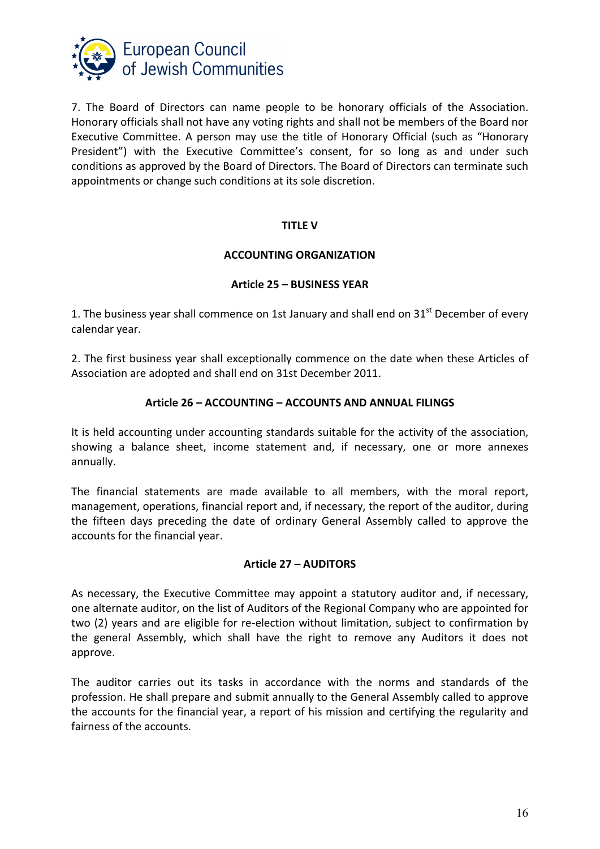

7. The Board of Directors can name people to be honorary officials of the Association. Honorary officials shall not have any voting rights and shall not be members of the Board nor Executive Committee. A person may use the title of Honorary Official (such as "Honorary President") with the Executive Committee's consent, for so long as and under such conditions as approved by the Board of Directors. The Board of Directors can terminate such appointments or change such conditions at its sole discretion.

#### **TITLE V**

### **ACCOUNTING ORGANIZATION**

### **Article 25 – BUSINESS YEAR**

1. The business year shall commence on 1st January and shall end on  $31<sup>st</sup>$  December of every calendar year.

2. The first business year shall exceptionally commence on the date when these Articles of Association are adopted and shall end on 31st December 2011.

## **Article 26 – ACCOUNTING – ACCOUNTS AND ANNUAL FILINGS**

It is held accounting under accounting standards suitable for the activity of the association, showing a balance sheet, income statement and, if necessary, one or more annexes annually.

The financial statements are made available to all members, with the moral report, management, operations, financial report and, if necessary, the report of the auditor, during the fifteen days preceding the date of ordinary General Assembly called to approve the accounts for the financial year.

#### **Article 27 – AUDITORS**

As necessary, the Executive Committee may appoint a statutory auditor and, if necessary, one alternate auditor, on the list of Auditors of the Regional Company who are appointed for two (2) years and are eligible for re-election without limitation, subject to confirmation by the general Assembly, which shall have the right to remove any Auditors it does not approve.

The auditor carries out its tasks in accordance with the norms and standards of the profession. He shall prepare and submit annually to the General Assembly called to approve the accounts for the financial year, a report of his mission and certifying the regularity and fairness of the accounts.